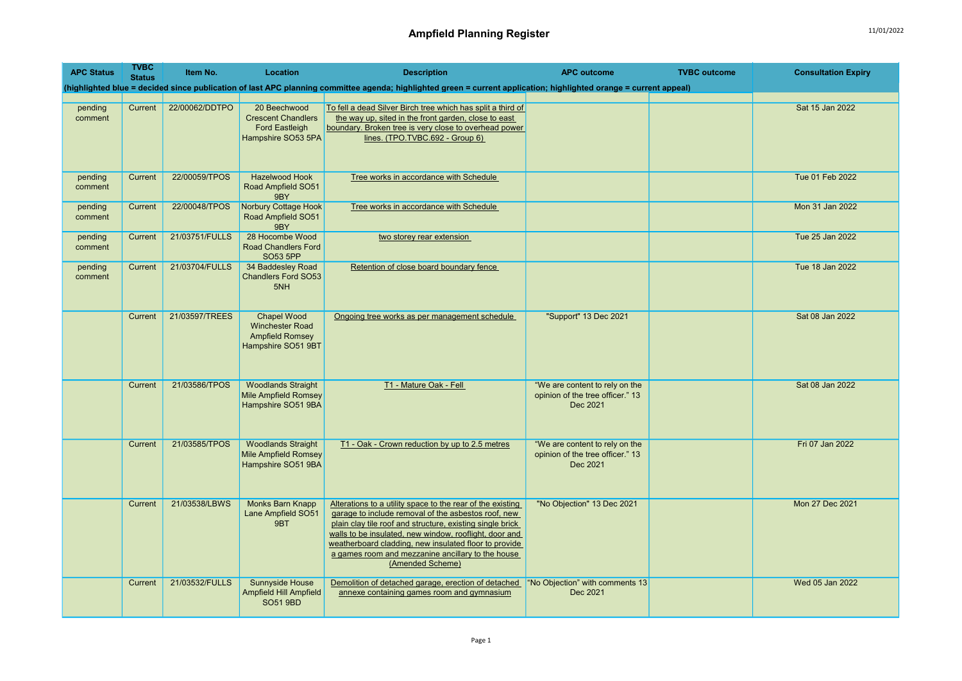| <b>APC Status</b>  | <b>TVBC</b><br><b>Status</b> | Item No.       | Location                                                                                     | <b>Description</b>                                                                                                                                                                                                                                                                                                                                                         | <b>APC outcome</b>                                                             | <b>TVBC</b> outcome | <b>Consultation Expiry</b> |
|--------------------|------------------------------|----------------|----------------------------------------------------------------------------------------------|----------------------------------------------------------------------------------------------------------------------------------------------------------------------------------------------------------------------------------------------------------------------------------------------------------------------------------------------------------------------------|--------------------------------------------------------------------------------|---------------------|----------------------------|
|                    |                              |                |                                                                                              | (highlighted blue = decided since publication of last APC planning committee agenda; highlighted green = current application; highlighted orange = current appeal)                                                                                                                                                                                                         |                                                                                |                     |                            |
| pending<br>comment | Current                      | 22/00062/DDTPO | 20 Beechwood<br><b>Crescent Chandlers</b><br><b>Ford Eastleigh</b><br>Hampshire SO53 5PA     | To fell a dead Silver Birch tree which has split a third of<br>the way up, sited in the front garden, close to east<br>boundary. Broken tree is very close to overhead power<br>lines. (TPO.TVBC.692 - Group 6)                                                                                                                                                            |                                                                                |                     | Sat 15 Jan 2022            |
| pending<br>comment | Current                      | 22/00059/TPOS  | <b>Hazelwood Hook</b><br>Road Ampfield SO51<br>9BY                                           | Tree works in accordance with Schedule                                                                                                                                                                                                                                                                                                                                     |                                                                                |                     | Tue 01 Feb 2022            |
| pending<br>comment | Current                      | 22/00048/TPOS  | <b>Norbury Cottage Hook</b><br>Road Ampfield SO51<br>9BY                                     | Tree works in accordance with Schedule                                                                                                                                                                                                                                                                                                                                     |                                                                                |                     | Mon 31 Jan 2022            |
| pending<br>comment | Current                      | 21/03751/FULLS | 28 Hocombe Wood<br><b>Road Chandlers Ford</b><br>SO53 5PP                                    | two storey rear extension                                                                                                                                                                                                                                                                                                                                                  |                                                                                |                     | Tue 25 Jan 2022            |
| pending<br>comment | Current                      | 21/03704/FULLS | 34 Baddesley Road<br><b>Chandlers Ford SO53</b><br>5NH                                       | Retention of close board boundary fence                                                                                                                                                                                                                                                                                                                                    |                                                                                |                     | Tue 18 Jan 2022            |
|                    | Current                      | 21/03597/TREES | <b>Chapel Wood</b><br><b>Winchester Road</b><br><b>Ampfield Romsey</b><br>Hampshire SO51 9BT | Ongoing tree works as per management schedule                                                                                                                                                                                                                                                                                                                              | "Support" 13 Dec 2021                                                          |                     | Sat 08 Jan 2022            |
|                    | Current                      | 21/03586/TPOS  | <b>Woodlands Straight</b><br><b>Mile Ampfield Romsey</b><br>Hampshire SO51 9BA               | T1 - Mature Oak - Fell                                                                                                                                                                                                                                                                                                                                                     | "We are content to rely on the<br>opinion of the tree officer." 13<br>Dec 2021 |                     | Sat 08 Jan 2022            |
|                    | Current                      | 21/03585/TPOS  | <b>Woodlands Straight</b><br>Mile Ampfield Romsey<br>Hampshire SO51 9BA                      | T1 - Oak - Crown reduction by up to 2.5 metres                                                                                                                                                                                                                                                                                                                             | "We are content to rely on the<br>opinion of the tree officer." 13<br>Dec 2021 |                     | Fri 07 Jan 2022            |
|                    | Current                      | 21/03538/LBWS  | <b>Monks Barn Knapp</b><br>Lane Ampfield SO51<br>9BT                                         | Alterations to a utility space to the rear of the existing<br>garage to include removal of the asbestos roof, new<br>plain clay tile roof and structure, existing single brick<br>walls to be insulated, new window, rooflight, door and<br>weatherboard cladding, new insulated floor to provide<br>a games room and mezzanine ancillary to the house<br>(Amended Scheme) | "No Objection" 13 Dec 2021                                                     |                     | Mon 27 Dec 2021            |
|                    | Current                      | 21/03532/FULLS | <b>Sunnyside House</b><br>Ampfield Hill Ampfield<br><b>SO51 9BD</b>                          | Demolition of detached garage, erection of detached<br>annexe containing games room and gymnasium                                                                                                                                                                                                                                                                          | "No Objection" with comments 13<br>Dec 2021                                    |                     | Wed 05 Jan 2022            |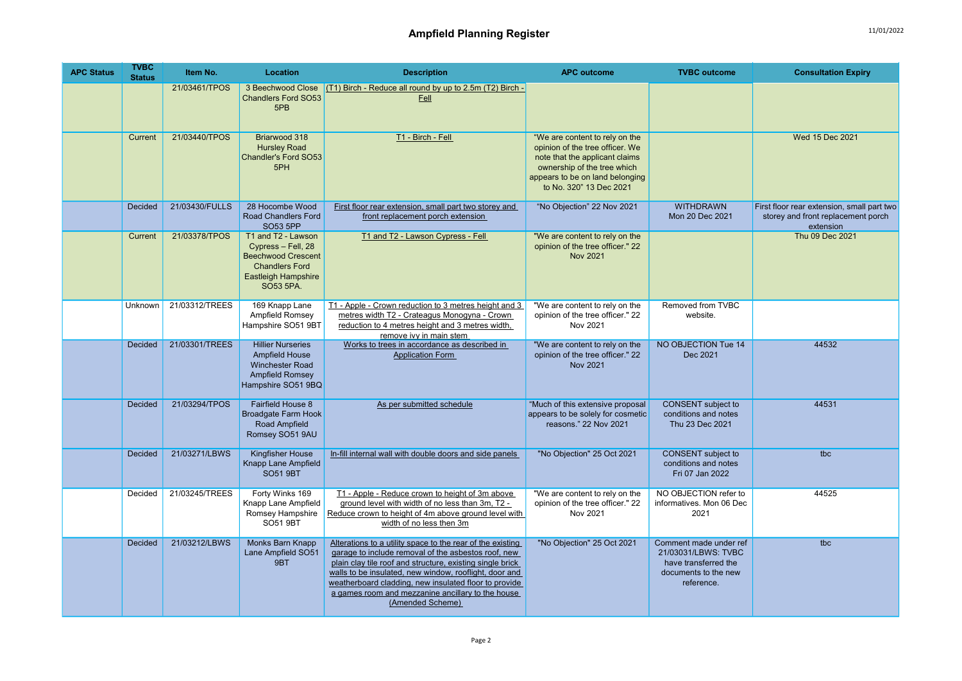| <b>APC Status</b> | <b>TVBC</b><br><b>Status</b> | Item No.       | Location                                                                                                                           | <b>Description</b>                                                                                                                                                                                                                                                                                                                                                         | <b>APC outcome</b>                                                                                                                                                                               | <b>TVBC</b> outcome                                                                                         | <b>Consultation Expiry</b>                                                                    |
|-------------------|------------------------------|----------------|------------------------------------------------------------------------------------------------------------------------------------|----------------------------------------------------------------------------------------------------------------------------------------------------------------------------------------------------------------------------------------------------------------------------------------------------------------------------------------------------------------------------|--------------------------------------------------------------------------------------------------------------------------------------------------------------------------------------------------|-------------------------------------------------------------------------------------------------------------|-----------------------------------------------------------------------------------------------|
|                   |                              | 21/03461/TPOS  | 3 Beechwood Close<br><b>Chandlers Ford SO53</b><br>5PB                                                                             | (T1) Birch - Reduce all round by up to 2.5m (T2) Birch -<br>Fell                                                                                                                                                                                                                                                                                                           |                                                                                                                                                                                                  |                                                                                                             |                                                                                               |
|                   | Current                      | 21/03440/TPOS  | Briarwood 318<br><b>Hursley Road</b><br>Chandler's Ford SO53<br>5PH                                                                | T1 - Birch - Fell                                                                                                                                                                                                                                                                                                                                                          | "We are content to rely on the<br>opinion of the tree officer. We<br>note that the applicant claims<br>ownership of the tree which<br>appears to be on land belonging<br>to No. 320" 13 Dec 2021 |                                                                                                             | Wed 15 Dec 2021                                                                               |
|                   | <b>Decided</b>               | 21/03430/FULLS | 28 Hocombe Wood<br>Road Chandlers Ford<br><b>SO53 5PP</b>                                                                          | First floor rear extension, small part two storey and<br>front replacement porch extension                                                                                                                                                                                                                                                                                 | "No Objection" 22 Nov 2021                                                                                                                                                                       | <b>WITHDRAWN</b><br>Mon 20 Dec 2021                                                                         | First floor rear extension, small part two<br>storey and front replacement porch<br>extension |
|                   | Current                      | 21/03378/TPOS  | T1 and T2 - Lawson<br>Cypress - Fell, 28<br><b>Beechwood Crescent</b><br><b>Chandlers Ford</b><br>Eastleigh Hampshire<br>SO53 5PA. | T1 and T2 - Lawson Cypress - Fell                                                                                                                                                                                                                                                                                                                                          | "We are content to rely on the<br>opinion of the tree officer." 22<br><b>Nov 2021</b>                                                                                                            |                                                                                                             | Thu 09 Dec 2021                                                                               |
|                   | Unknown                      | 21/03312/TREES | 169 Knapp Lane<br>Ampfield Romsey<br>Hampshire SO51 9BT                                                                            | T1 - Apple - Crown reduction to 3 metres height and 3<br>metres width T2 - Crateagus Monogyna - Crown<br>reduction to 4 metres height and 3 metres width,<br>remove ivy in main stem                                                                                                                                                                                       | "We are content to rely on the<br>opinion of the tree officer." 22<br>Nov 2021                                                                                                                   | Removed from TVBC<br>website.                                                                               |                                                                                               |
|                   | <b>Decided</b>               | 21/03301/TREES | <b>Hillier Nurseries</b><br>Ampfield House<br>Winchester Road<br><b>Ampfield Romsey</b><br>Hampshire SO51 9BQ                      | Works to trees in accordance as described in<br><b>Application Form</b>                                                                                                                                                                                                                                                                                                    | "We are content to rely on the<br>opinion of the tree officer." 22<br><b>Nov 2021</b>                                                                                                            | NO OBJECTION Tue 14<br>Dec 2021                                                                             | 44532                                                                                         |
|                   | <b>Decided</b>               | 21/03294/TPOS  | <b>Fairfield House 8</b><br>Broadgate Farm Hook<br>Road Ampfield<br>Romsey SO51 9AU                                                | As per submitted schedule                                                                                                                                                                                                                                                                                                                                                  | "Much of this extensive proposal<br>appears to be solely for cosmetic<br>reasons." 22 Nov 2021                                                                                                   | <b>CONSENT</b> subject to<br>conditions and notes<br>Thu 23 Dec 2021                                        | 44531                                                                                         |
|                   | Decided                      | 21/03271/LBWS  | Kingfisher House<br>Knapp Lane Ampfield<br><b>SO51 9BT</b>                                                                         | In-fill internal wall with double doors and side panels                                                                                                                                                                                                                                                                                                                    | "No Objection" 25 Oct 2021                                                                                                                                                                       | <b>CONSENT</b> subject to<br>conditions and notes<br>Fri 07 Jan 2022                                        | tbc                                                                                           |
|                   | Decided                      | 21/03245/TREES | Forty Winks 169<br>Knapp Lane Ampfield<br>Romsey Hampshire<br><b>SO51 9BT</b>                                                      | T1 - Apple - Reduce crown to height of 3m above<br>ground level with width of no less than 3m, T2 -<br>Reduce crown to height of 4m above ground level with<br>width of no less then 3m                                                                                                                                                                                    | "We are content to rely on the<br>opinion of the tree officer." 22<br>Nov 2021                                                                                                                   | NO OBJECTION refer to<br>informatives. Mon 06 Dec<br>2021                                                   | 44525                                                                                         |
|                   | Decided                      | 21/03212/LBWS  | Monks Barn Knapp<br>Lane Ampfield SO51<br>9BT                                                                                      | Alterations to a utility space to the rear of the existing<br>garage to include removal of the asbestos roof, new<br>plain clay tile roof and structure, existing single brick<br>walls to be insulated, new window, rooflight, door and<br>weatherboard cladding, new insulated floor to provide<br>a games room and mezzanine ancillary to the house<br>(Amended Scheme) | "No Objection" 25 Oct 2021                                                                                                                                                                       | Comment made under ref<br>21/03031/LBWS: TVBC<br>have transferred the<br>documents to the new<br>reference. | tbc                                                                                           |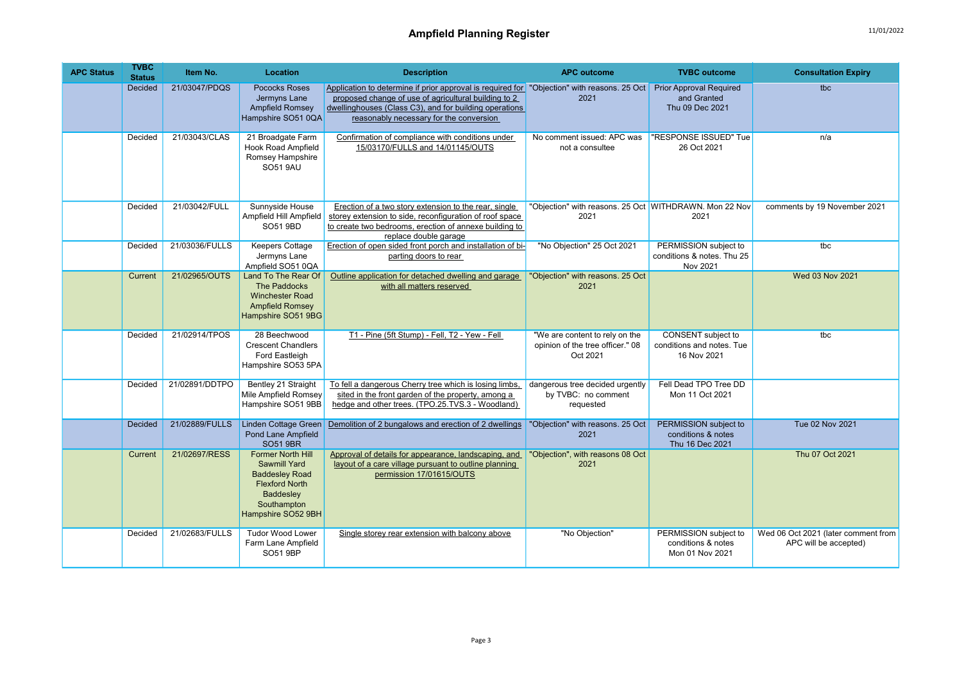| <b>APC Status</b> | <b>TVBC</b><br><b>Status</b> | Item No.       | <b>Location</b>                                                                                                                                     | <b>Description</b>                                                                                                                                                                                                                                       | <b>APC outcome</b>                                                             | <b>TVBC</b> outcome                                              | <b>Consultation Expiry</b>                                   |
|-------------------|------------------------------|----------------|-----------------------------------------------------------------------------------------------------------------------------------------------------|----------------------------------------------------------------------------------------------------------------------------------------------------------------------------------------------------------------------------------------------------------|--------------------------------------------------------------------------------|------------------------------------------------------------------|--------------------------------------------------------------|
|                   | <b>Decided</b>               | 21/03047/PDQS  | <b>Pococks Roses</b><br>Jermyns Lane<br><b>Ampfield Romsey</b><br>Hampshire SO51 0QA                                                                | Application to determine if prior approval is required for "Objection" with reasons. 25 Oct<br>proposed change of use of agricultural building to 2<br>dwellinghouses (Class C3), and for building operations<br>reasonably necessary for the conversion | 2021                                                                           | <b>Prior Approval Required</b><br>and Granted<br>Thu 09 Dec 2021 | tbc                                                          |
|                   | Decided                      | 21/03043/CLAS  | 21 Broadgate Farm<br><b>Hook Road Ampfield</b><br>Romsey Hampshire<br><b>SO51 9AU</b>                                                               | Confirmation of compliance with conditions under<br>15/03170/FULLS and 14/01145/OUTS                                                                                                                                                                     | No comment issued: APC was<br>not a consultee                                  | 'RESPONSE ISSUED" Tue<br>26 Oct 2021                             | n/a                                                          |
|                   | Decided                      | 21/03042/FULL  | Sunnyside House<br>Ampfield Hill Ampfield<br>SO51 9BD                                                                                               | Erection of a two story extension to the rear, single<br>storey extension to side, reconfiguration of roof space<br>to create two bedrooms, erection of annexe building to<br>replace double garage                                                      | "Objection" with reasons. 25 Oct WITHDRAWN. Mon 22 Nov<br>2021                 | 2021                                                             | comments by 19 November 2021                                 |
|                   | Decided                      | 21/03036/FULLS | <b>Keepers Cottage</b><br>Jermyns Lane<br>Ampfield SO51 0QA                                                                                         | Erection of open sided front porch and installation of bi-<br>parting doors to rear                                                                                                                                                                      | "No Objection" 25 Oct 2021                                                     | PERMISSION subject to<br>conditions & notes. Thu 25<br>Nov 2021  | tbc                                                          |
|                   | Current                      | 21/02965/OUTS  | Land To The Rear Of<br>The Paddocks<br><b>Winchester Road</b><br><b>Ampfield Romsey</b><br>Hampshire SO51 9BG                                       | Outline application for detached dwelling and garage<br>with all matters reserved                                                                                                                                                                        | "Objection" with reasons. 25 Oct<br>2021                                       |                                                                  | Wed 03 Nov 2021                                              |
|                   | Decided                      | 21/02914/TPOS  | 28 Beechwood<br><b>Crescent Chandlers</b><br>Ford Eastleigh<br>Hampshire SO53 5PA                                                                   | T1 - Pine (5ft Stump) - Fell, T2 - Yew - Fell                                                                                                                                                                                                            | "We are content to rely on the<br>opinion of the tree officer." 08<br>Oct 2021 | CONSENT subject to<br>conditions and notes. Tue<br>16 Nov 2021   | tbc                                                          |
|                   | Decided                      | 21/02891/DDTPO | Bentley 21 Straight<br>Mile Ampfield Romsey<br>Hampshire SO51 9BB                                                                                   | To fell a dangerous Cherry tree which is losing limbs,<br>sited in the front garden of the property, among a<br>hedge and other trees. (TPO.25.TVS.3 - Woodland)                                                                                         | dangerous tree decided urgently<br>by TVBC: no comment<br>requested            | Fell Dead TPO Tree DD<br>Mon 11 Oct 2021                         |                                                              |
|                   | <b>Decided</b>               | 21/02889/FULLS | <b>Linden Cottage Green</b><br>Pond Lane Ampfield<br><b>SO51 9BR</b>                                                                                | Demolition of 2 bungalows and erection of 2 dwellings                                                                                                                                                                                                    | "Objection" with reasons. 25 Oct<br>2021                                       | PERMISSION subject to<br>conditions & notes<br>Thu 16 Dec 2021   | Tue 02 Nov 2021                                              |
|                   | Current                      | 21/02697/RESS  | <b>Former North Hill</b><br><b>Sawmill Yard</b><br><b>Baddesley Road</b><br><b>Flexford North</b><br>Baddesley<br>Southampton<br>Hampshire SO52 9BH | Approval of details for appearance, landscaping, and<br>layout of a care village pursuant to outline planning<br>permission 17/01615/OUTS                                                                                                                | "Objection", with reasons 08 Oct<br>2021                                       |                                                                  | Thu 07 Oct 2021                                              |
|                   | Decided                      | 21/02683/FULLS | <b>Tudor Wood Lower</b><br>Farm Lane Ampfield<br>SO51 9BP                                                                                           | Single storey rear extension with balcony above                                                                                                                                                                                                          | "No Objection"                                                                 | PERMISSION subject to<br>conditions & notes<br>Mon 01 Nov 2021   | Wed 06 Oct 2021 (later comment from<br>APC will be accepted) |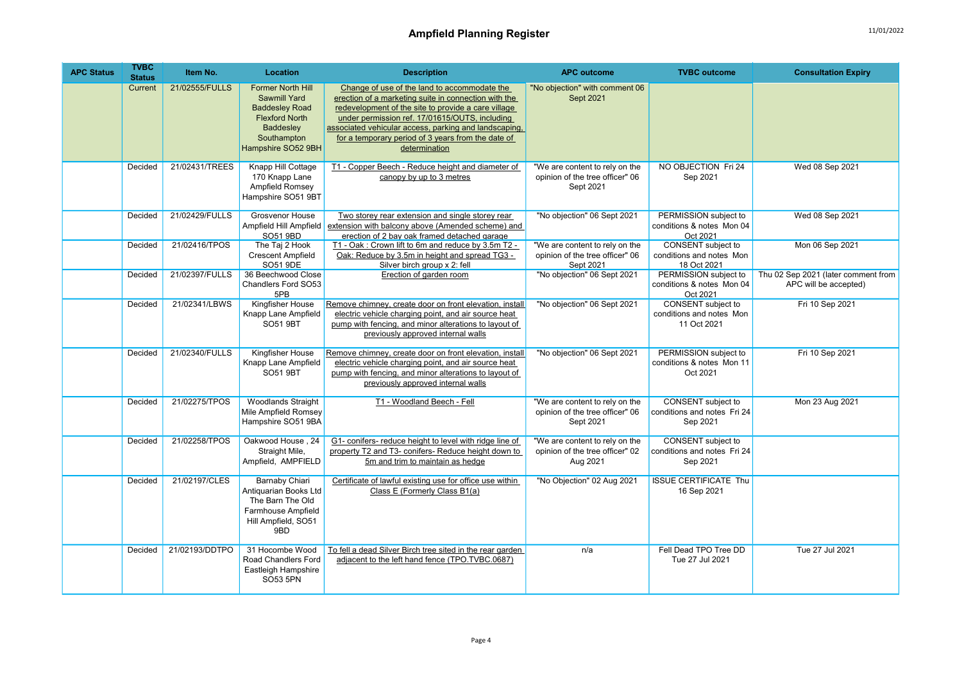## Ampfield Planning Register 11/01/2022

| <b>APC Status</b> | <b>TVBC</b><br><b>Status</b> | Item No.       | Location                                                                                                                                                   | <b>Description</b>                                                                                                                                                                                                                                                                                                                            | <b>APC outcome</b>                                                             | <b>TVBC</b> outcome                                            | <b>Consultation Expiry</b>                                   |
|-------------------|------------------------------|----------------|------------------------------------------------------------------------------------------------------------------------------------------------------------|-----------------------------------------------------------------------------------------------------------------------------------------------------------------------------------------------------------------------------------------------------------------------------------------------------------------------------------------------|--------------------------------------------------------------------------------|----------------------------------------------------------------|--------------------------------------------------------------|
|                   | Current                      | 21/02555/FULLS | <b>Former North Hill</b><br><b>Sawmill Yard</b><br><b>Baddesley Road</b><br><b>Flexford North</b><br><b>Baddesley</b><br>Southampton<br>Hampshire SO52 9BH | Change of use of the land to accommodate the<br>erection of a marketing suite in connection with the<br>redevelopment of the site to provide a care village<br>under permission ref. 17/01615/OUTS, including<br>associated vehicular access, parking and landscaping,<br>for a temporary period of 3 years from the date of<br>determination | "No objection" with comment 06<br>Sept 2021                                    |                                                                |                                                              |
|                   | Decided                      | 21/02431/TREES | Knapp Hill Cottage<br>170 Knapp Lane<br>Ampfield Romsey<br>Hampshire SO51 9BT                                                                              | T1 - Copper Beech - Reduce height and diameter of<br>canopy by up to 3 metres                                                                                                                                                                                                                                                                 | "We are content to rely on the<br>opinion of the tree officer" 06<br>Sept 2021 | NO OBJECTION Fri 24<br>Sep 2021                                | Wed 08 Sep 2021                                              |
|                   | Decided                      | 21/02429/FULLS | <b>Grosvenor House</b><br>Ampfield Hill Ampfield<br>SO51 9BD                                                                                               | Two storey rear extension and single storey rear<br>extension with balcony above (Amended scheme) and<br>erection of 2 bay oak framed detached garage                                                                                                                                                                                         | "No objection" 06 Sept 2021                                                    | PERMISSION subject to<br>conditions & notes Mon 04<br>Oct 2021 | Wed 08 Sep 2021                                              |
|                   | Decided                      | 21/02416/TPOS  | The Taj 2 Hook<br><b>Crescent Ampfield</b><br>SO51 9DE                                                                                                     | T1 - Oak: Crown lift to 6m and reduce by 3.5m T2 -<br>Oak: Reduce by 3.5m in height and spread TG3 -<br>Silver birch group x 2: fell                                                                                                                                                                                                          | "We are content to rely on the<br>opinion of the tree officer" 06<br>Sept 2021 | CONSENT subject to<br>conditions and notes Mon<br>18 Oct 2021  | Mon 06 Sep 2021                                              |
|                   | Decided                      | 21/02397/FULLS | 36 Beechwood Close<br>Chandlers Ford SO53<br>5PB                                                                                                           | Erection of garden room                                                                                                                                                                                                                                                                                                                       | "No objection" 06 Sept 2021                                                    | PERMISSION subject to<br>conditions & notes Mon 04<br>Oct 2021 | Thu 02 Sep 2021 (later comment from<br>APC will be accepted) |
|                   | Decided                      | 21/02341/LBWS  | Kingfisher House<br>Knapp Lane Ampfield<br><b>SO51 9BT</b>                                                                                                 | Remove chimney, create door on front elevation, install<br>electric vehicle charging point, and air source heat<br>pump with fencing, and minor alterations to layout of<br>previously approved internal walls                                                                                                                                | "No objection" 06 Sept 2021                                                    | CONSENT subject to<br>conditions and notes Mon<br>11 Oct 2021  | Fri 10 Sep 2021                                              |
|                   | Decided                      | 21/02340/FULLS | Kingfisher House<br>Knapp Lane Ampfield<br><b>SO51 9BT</b>                                                                                                 | Remove chimney, create door on front elevation, install<br>electric vehicle charging point, and air source heat<br>pump with fencing, and minor alterations to layout of<br>previously approved internal walls                                                                                                                                | "No objection" 06 Sept 2021                                                    | PERMISSION subject to<br>conditions & notes Mon 11<br>Oct 2021 | Fri 10 Sep 2021                                              |
|                   | Decided                      | 21/02275/TPOS  | <b>Woodlands Straight</b><br>Mile Ampfield Romsey<br>Hampshire SO51 9BA                                                                                    | T1 - Woodland Beech - Fell                                                                                                                                                                                                                                                                                                                    | "We are content to rely on the<br>opinion of the tree officer" 06<br>Sept 2021 | CONSENT subject to<br>conditions and notes Fri 24<br>Sep 2021  | Mon 23 Aug 2021                                              |
|                   | Decided                      | 21/02258/TPOS  | Oakwood House, 24<br>Straight Mile,<br>Ampfield, AMPFIELD                                                                                                  | G1- conifers- reduce height to level with ridge line of<br>property T2 and T3- conifers- Reduce height down to<br>5m and trim to maintain as hedge                                                                                                                                                                                            | "We are content to rely on the<br>opinion of the tree officer" 02<br>Aug 2021  | CONSENT subject to<br>conditions and notes Fri 24<br>Sep 2021  |                                                              |
|                   | Decided                      | 21/02197/CLES  | Barnaby Chiari<br>Antiquarian Books Ltd<br>The Barn The Old<br>Farmhouse Ampfield<br>Hill Ampfield, SO51<br>9BD                                            | Certificate of lawful existing use for office use within<br>Class E (Formerly Class B1(a)                                                                                                                                                                                                                                                     | "No Objection" 02 Aug 2021                                                     | <b>ISSUE CERTIFICATE Thu</b><br>16 Sep 2021                    |                                                              |
|                   | Decided                      | 21/02193/DDTPO | 31 Hocombe Wood<br>Road Chandlers Ford<br>Eastleigh Hampshire<br>SO53 5PN                                                                                  | To fell a dead Silver Birch tree sited in the rear garden<br>adjacent to the left hand fence (TPO.TVBC.0687)                                                                                                                                                                                                                                  | n/a                                                                            | Fell Dead TPO Tree DD<br>Tue 27 Jul 2021                       | Tue 27 Jul 2021                                              |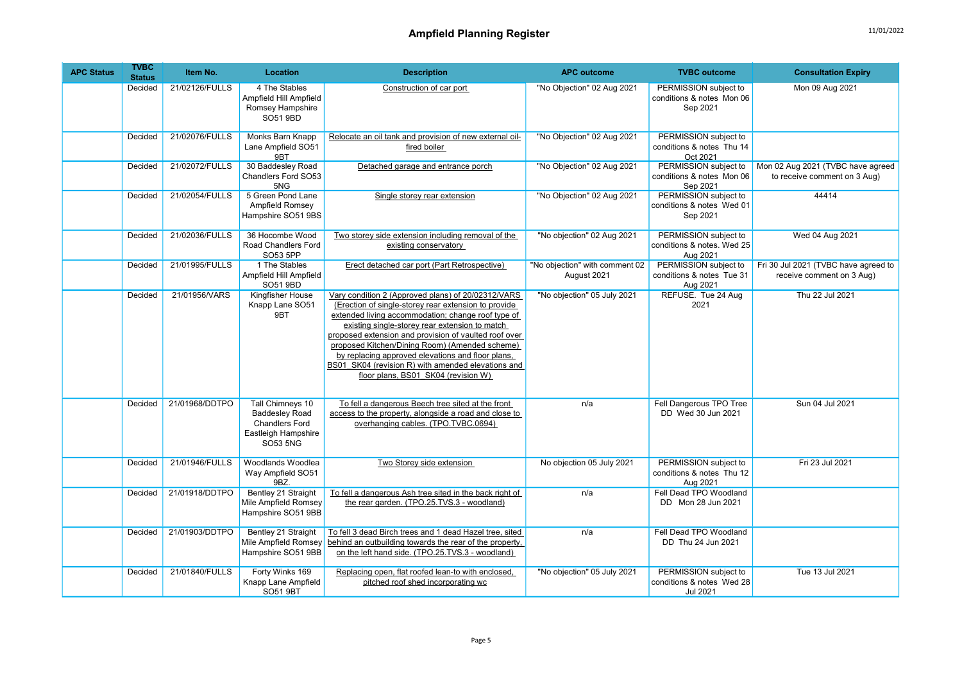| <b>APC Status</b> | <b>TVBC</b><br><b>Status</b> | Item No.       | Location                                                                                                     | <b>Description</b>                                                                                                                                                                                                                                                                                                                                                                                                                                                              | <b>APC outcome</b>                            | <b>TVBC</b> outcome                                             | <b>Consultation Expiry</b>                                        |
|-------------------|------------------------------|----------------|--------------------------------------------------------------------------------------------------------------|---------------------------------------------------------------------------------------------------------------------------------------------------------------------------------------------------------------------------------------------------------------------------------------------------------------------------------------------------------------------------------------------------------------------------------------------------------------------------------|-----------------------------------------------|-----------------------------------------------------------------|-------------------------------------------------------------------|
|                   | Decided                      | 21/02126/FULLS | 4 The Stables<br>Ampfield Hill Ampfield<br>Romsey Hampshire<br>SO51 9BD                                      | Construction of car port                                                                                                                                                                                                                                                                                                                                                                                                                                                        | "No Objection" 02 Aug 2021                    | PERMISSION subject to<br>conditions & notes Mon 06<br>Sep 2021  | Mon 09 Aug 2021                                                   |
|                   | Decided                      | 21/02076/FULLS | Monks Barn Knapp<br>Lane Ampfield SO51<br>9 <sub>RT</sub>                                                    | Relocate an oil tank and provision of new external oil-<br>fired boiler                                                                                                                                                                                                                                                                                                                                                                                                         | "No Objection" 02 Aug 2021                    | PERMISSION subject to<br>conditions & notes Thu 14<br>Oct 2021  |                                                                   |
|                   | Decided                      | 21/02072/FULLS | 30 Baddesley Road<br>Chandlers Ford SO53<br>5NG                                                              | Detached garage and entrance porch                                                                                                                                                                                                                                                                                                                                                                                                                                              | "No Objection" 02 Aug 2021                    | PERMISSION subject to<br>conditions & notes Mon 06<br>Sep 2021  | Mon 02 Aug 2021 (TVBC have agreed<br>to receive comment on 3 Aug) |
|                   | Decided                      | 21/02054/FULLS | 5 Green Pond Lane<br>Ampfield Romsey<br>Hampshire SO51 9BS                                                   | Single storey rear extension                                                                                                                                                                                                                                                                                                                                                                                                                                                    | "No Objection" 02 Aug 2021                    | PERMISSION subject to<br>conditions & notes Wed 01<br>Sep 2021  | 44414                                                             |
|                   | Decided                      | 21/02036/FULLS | 36 Hocombe Wood<br>Road Chandlers Ford<br>SO53 5PP                                                           | Two storey side extension including removal of the<br>existing conservatory                                                                                                                                                                                                                                                                                                                                                                                                     | "No objection" 02 Aug 2021                    | PERMISSION subject to<br>conditions & notes. Wed 25<br>Aug 2021 | Wed 04 Aug 2021                                                   |
|                   | Decided                      | 21/01995/FULLS | 1 The Stables<br>Ampfield Hill Ampfield<br>SO51 9BD                                                          | Erect detached car port (Part Retrospective)                                                                                                                                                                                                                                                                                                                                                                                                                                    | "No objection" with comment 02<br>August 2021 | PERMISSION subject to<br>conditions & notes Tue 31<br>Aug 2021  | Fri 30 Jul 2021 (TVBC have agreed to<br>receive comment on 3 Aug) |
|                   | Decided                      | 21/01956/VARS  | Kingfisher House<br>Knapp Lane SO51<br>9BT                                                                   | Vary condition 2 (Approved plans) of 20/02312/VARS<br>(Erection of single-storey rear extension to provide<br>extended living accommodation; change roof type of<br>existing single-storey rear extension to match<br>proposed extension and provision of vaulted roof over<br>proposed Kitchen/Dining Room) (Amended scheme)<br>by replacing approved elevations and floor plans,<br>BS01 SK04 (revision R) with amended elevations and<br>floor plans, BS01 SK04 (revision W) | "No objection" 05 July 2021                   | REFUSE. Tue 24 Aug<br>2021                                      | Thu 22 Jul 2021                                                   |
|                   | Decided                      | 21/01968/DDTPO | <b>Tall Chimneys 10</b><br><b>Baddesley Road</b><br><b>Chandlers Ford</b><br>Eastleigh Hampshire<br>SO53 5NG | To fell a dangerous Beech tree sited at the front<br>access to the property, alongside a road and close to<br>overhanging cables. (TPO.TVBC.0694)                                                                                                                                                                                                                                                                                                                               | n/a                                           | Fell Dangerous TPO Tree<br>DD Wed 30 Jun 2021                   | Sun 04 Jul 2021                                                   |
|                   | Decided                      | 21/01946/FULLS | Woodlands Woodlea<br>Way Ampfield SO51<br>9BZ.                                                               | Two Storey side extension                                                                                                                                                                                                                                                                                                                                                                                                                                                       | No objection 05 July 2021                     | PERMISSION subject to<br>conditions & notes Thu 12<br>Aug 2021  | Fri 23 Jul 2021                                                   |
|                   | Decided                      | 21/01918/DDTPO | Bentley 21 Straight<br>Mile Ampfield Romsey<br>Hampshire SO51 9BB                                            | To fell a dangerous Ash tree sited in the back right of<br>the rear garden. (TPO.25.TVS.3 - woodland)                                                                                                                                                                                                                                                                                                                                                                           | n/a                                           | Fell Dead TPO Woodland<br>DD Mon 28 Jun 2021                    |                                                                   |
|                   | Decided                      | 21/01903/DDTPO | Bentley 21 Straight<br>Mile Ampfield Romsey<br>Hampshire SO51 9BB                                            | To fell 3 dead Birch trees and 1 dead Hazel tree, sited<br>behind an outbuilding towards the rear of the property,<br>on the left hand side. (TPO.25.TVS.3 - woodland)                                                                                                                                                                                                                                                                                                          | n/a                                           | Fell Dead TPO Woodland<br>DD Thu 24 Jun 2021                    |                                                                   |
|                   | Decided                      | 21/01840/FULLS | Forty Winks 169<br>Knapp Lane Ampfield<br><b>SO51 9BT</b>                                                    | Replacing open, flat roofed lean-to with enclosed,<br>pitched roof shed incorporating wc                                                                                                                                                                                                                                                                                                                                                                                        | "No objection" 05 July 2021                   | PERMISSION subject to<br>conditions & notes Wed 28<br>Jul 2021  | Tue 13 Jul 2021                                                   |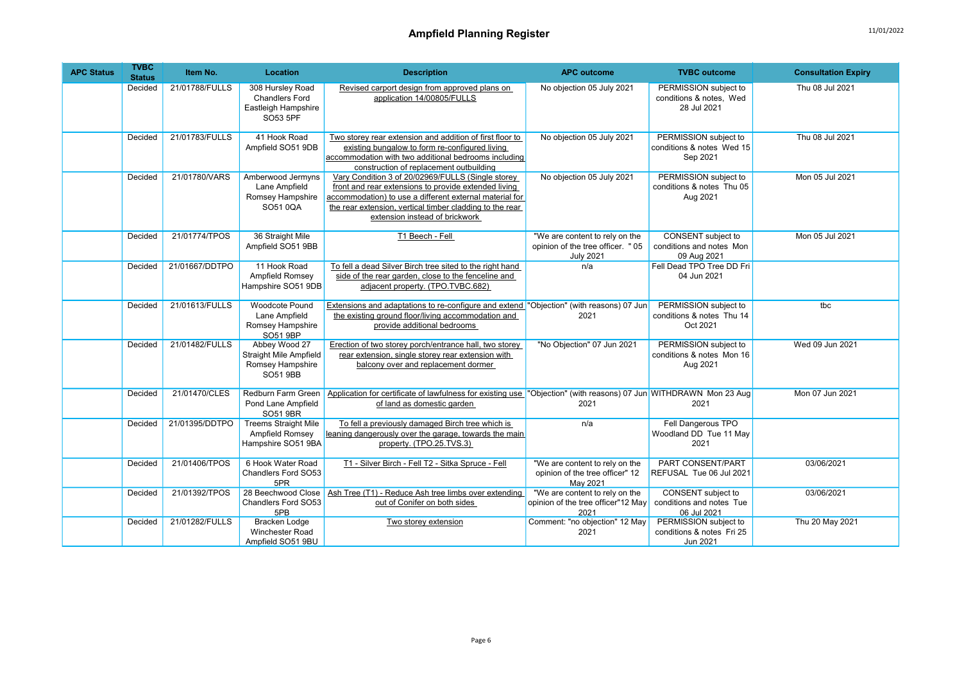| <b>APC Status</b> | <b>TVBC</b><br><b>Status</b> | Item No.       | Location                                                                              | <b>Description</b>                                                                                                                                                                                                                                                 | <b>APC outcome</b>                                                                      | <b>TVBC</b> outcome                                             | <b>Consultation Expiry</b> |
|-------------------|------------------------------|----------------|---------------------------------------------------------------------------------------|--------------------------------------------------------------------------------------------------------------------------------------------------------------------------------------------------------------------------------------------------------------------|-----------------------------------------------------------------------------------------|-----------------------------------------------------------------|----------------------------|
|                   | Decided                      | 21/01788/FULLS | 308 Hursley Road<br><b>Chandlers Ford</b><br>Eastleigh Hampshire<br>SO53 5PF          | Revised carport design from approved plans on<br>application 14/00805/FULLS                                                                                                                                                                                        | No objection 05 July 2021                                                               | PERMISSION subject to<br>conditions & notes, Wed<br>28 Jul 2021 | Thu 08 Jul 2021            |
|                   | Decided                      | 21/01783/FULLS | 41 Hook Road<br>Ampfield SO51 9DB                                                     | Two storey rear extension and addition of first floor to<br>existing bungalow to form re-configured living<br>accommodation with two additional bedrooms including<br>construction of replacement outbuilding                                                      | No objection 05 July 2021                                                               | PERMISSION subject to<br>conditions & notes Wed 15<br>Sep 2021  | Thu 08 Jul 2021            |
|                   | Decided                      | 21/01780/VARS  | Amberwood Jermyns<br>Lane Ampfield<br>Romsey Hampshire<br>SO51 0OA                    | Vary Condition 3 of 20/02969/FULLS (Single storey<br>front and rear extensions to provide extended living<br>accommodation) to use a different external material for<br>the rear extension, vertical timber cladding to the rear<br>extension instead of brickwork | No objection 05 July 2021                                                               | PERMISSION subject to<br>conditions & notes Thu 05<br>Aug 2021  | Mon 05 Jul 2021            |
|                   | Decided                      | 21/01774/TPOS  | 36 Straight Mile<br>Ampfield SO51 9BB                                                 | T1 Beech - Fell                                                                                                                                                                                                                                                    | "We are content to rely on the<br>opinion of the tree officer. " 05<br><b>July 2021</b> | CONSENT subject to<br>conditions and notes Mon<br>09 Aug 2021   | Mon 05 Jul 2021            |
|                   | Decided                      | 21/01667/DDTPO | 11 Hook Road<br>Ampfield Romsey<br>Hampshire SO51 9DB                                 | To fell a dead Silver Birch tree sited to the right hand<br>side of the rear garden, close to the fenceline and<br>adjacent property. (TPO.TVBC.682)                                                                                                               | n/a                                                                                     | Fell Dead TPO Tree DD Fri<br>04 Jun 2021                        |                            |
|                   | Decided                      | 21/01613/FULLS | <b>Woodcote Pound</b><br>Lane Ampfield<br>Romsey Hampshire<br><b>SO51 9BP</b>         | Extensions and adaptations to re-configure and extend "Objection" (with reasons) 07 Jun<br>the existing ground floor/living accommodation and<br>provide additional bedrooms                                                                                       | 2021                                                                                    | PERMISSION subject to<br>conditions & notes Thu 14<br>Oct 2021  | tbc                        |
|                   | Decided                      | 21/01482/FULLS | Abbey Wood 27<br><b>Straight Mile Ampfield</b><br>Romsey Hampshire<br><b>SO51 9BB</b> | Erection of two storey porch/entrance hall, two storey<br>rear extension, single storey rear extension with<br>balcony over and replacement dormer                                                                                                                 | "No Objection" 07 Jun 2021                                                              | PERMISSION subject to<br>conditions & notes Mon 16<br>Aug 2021  | Wed 09 Jun 2021            |
|                   | Decided                      | 21/01470/CLES  | Redburn Farm Green<br>Pond Lane Ampfield<br><b>SO51 9BR</b>                           | Application for certificate of lawfulness for existing use "Objection" (with reasons) 07 Jun WITHDRAWN Mon 23 Aug<br>of land as domestic garden                                                                                                                    | 2021                                                                                    | 2021                                                            | Mon 07 Jun 2021            |
|                   | Decided                      | 21/01395/DDTPO | <b>Treems Straight Mile</b><br>Ampfield Romsey<br>Hampshire SO51 9BA                  | To fell a previously damaged Birch tree which is<br>leaning dangerously over the garage, towards the main<br>property. (TPO.25.TVS.3)                                                                                                                              | n/a                                                                                     | Fell Dangerous TPO<br>Woodland DD Tue 11 May<br>2021            |                            |
|                   | Decided                      | 21/01406/TPOS  | 6 Hook Water Road<br>Chandlers Ford SO53<br>5PR                                       | T1 - Silver Birch - Fell T2 - Sitka Spruce - Fell                                                                                                                                                                                                                  | "We are content to rely on the<br>opinion of the tree officer" 12<br>May 2021           | PART CONSENT/PART<br>REFUSAL Tue 06 Jul 2021                    | 03/06/2021                 |
|                   | Decided                      | 21/01392/TPOS  | 28 Beechwood Close<br>Chandlers Ford SO53<br>5PB                                      | Ash Tree (T1) - Reduce Ash tree limbs over extending<br>out of Conifer on both sides                                                                                                                                                                               | "We are content to rely on the<br>opinion of the tree officer"12 May<br>2021            | CONSENT subject to<br>conditions and notes Tue<br>06 Jul 2021   | 03/06/2021                 |
|                   | Decided                      | 21/01282/FULLS | <b>Bracken Lodge</b><br>Winchester Road<br>Ampfield SO51 9BU                          | Two storev extension                                                                                                                                                                                                                                               | Comment: "no objection" 12 May<br>2021                                                  | PERMISSION subject to<br>conditions & notes Fri 25<br>Jun 2021  | Thu 20 May 2021            |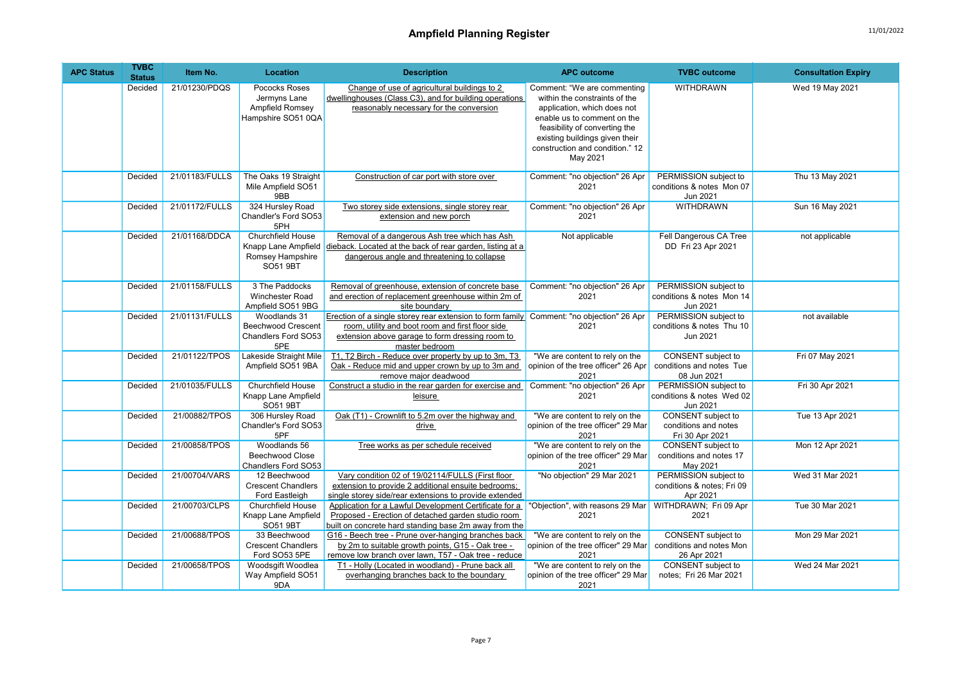| <b>APC Status</b> | <b>TVBC</b><br><b>Status</b> | Item No.       | Location                                                                               | <b>Description</b>                                                                                                                                                                                                | <b>APC outcome</b>                                                                                                                                                                                                                           | <b>TVBC</b> outcome                                             | <b>Consultation Expiry</b> |
|-------------------|------------------------------|----------------|----------------------------------------------------------------------------------------|-------------------------------------------------------------------------------------------------------------------------------------------------------------------------------------------------------------------|----------------------------------------------------------------------------------------------------------------------------------------------------------------------------------------------------------------------------------------------|-----------------------------------------------------------------|----------------------------|
|                   | Decided                      | 21/01230/PDQS  | Pococks Roses<br>Jermyns Lane<br>Ampfield Romsey<br>Hampshire SO51 0QA                 | Change of use of agricultural buildings to 2<br>dwellinghouses (Class C3), and for building operations<br>reasonably necessary for the conversion                                                                 | Comment: "We are commenting<br>within the constraints of the<br>application, which does not<br>enable us to comment on the<br>feasibility of converting the<br>existing buildings given their<br>construction and condition." 12<br>May 2021 | <b>WITHDRAWN</b>                                                | Wed 19 May 2021            |
|                   | Decided                      | 21/01183/FULLS | The Oaks 19 Straight<br>Mile Ampfield SO51<br>9BB                                      | Construction of car port with store over                                                                                                                                                                          | Comment: "no objection" 26 Apr<br>2021                                                                                                                                                                                                       | PERMISSION subject to<br>conditions & notes Mon 07<br>Jun 2021  | Thu 13 May 2021            |
|                   | Decided                      | 21/01172/FULLS | 324 Hursley Road<br>Chandler's Ford SO53<br>5PH                                        | Two storey side extensions, single storey rear<br>extension and new porch                                                                                                                                         | Comment: "no objection" 26 Apr<br>2021                                                                                                                                                                                                       | <b>WITHDRAWN</b>                                                | Sun 16 May 2021            |
|                   | Decided                      | 21/01168/DDCA  | <b>Churchfield House</b><br>Knapp Lane Ampfield<br>Romsey Hampshire<br><b>SO51 9BT</b> | Removal of a dangerous Ash tree which has Ash<br>dieback. Located at the back of rear garden, listing at a<br>dangerous angle and threatening to collapse                                                         | Not applicable                                                                                                                                                                                                                               | Fell Dangerous CA Tree<br>DD Fri 23 Apr 2021                    | not applicable             |
|                   | Decided                      | 21/01158/FULLS | 3 The Paddocks<br><b>Winchester Road</b><br>Ampfield SO51 9BG                          | Removal of greenhouse, extension of concrete base<br>and erection of replacement greenhouse within 2m of<br>site boundarv                                                                                         | Comment: "no objection" 26 Apr<br>2021                                                                                                                                                                                                       | PERMISSION subject to<br>conditions & notes Mon 14<br>Jun 2021  |                            |
|                   | Decided                      | 21/01131/FULLS | Woodlands 31<br><b>Beechwood Crescent</b><br>Chandlers Ford SO53<br>5PE                | Erection of a single storey rear extension to form family Comment: "no objection" 26 Apr<br>room, utility and boot room and first floor side<br>extension above garage to form dressing room to<br>master bedroom | 2021                                                                                                                                                                                                                                         | PERMISSION subject to<br>conditions & notes Thu 10<br>Jun 2021  | not available              |
|                   | Decided                      | 21/01122/TPOS  | Lakeside Straight Mile<br>Ampfield SO51 9BA                                            | T1, T2 Birch - Reduce over property by up to 3m, T3<br>Oak - Reduce mid and upper crown by up to 3m and<br>remove major deadwood                                                                                  | "We are content to rely on the<br>opinion of the tree officer" 26 Apr<br>2021                                                                                                                                                                | CONSENT subject to<br>conditions and notes Tue<br>08 Jun 2021   | Fri 07 May 2021            |
|                   | Decided                      | 21/01035/FULLS | <b>Churchfield House</b><br>Knapp Lane Ampfield<br>SO51 9BT                            | Construct a studio in the rear garden for exercise and<br>leisure                                                                                                                                                 | Comment: "no objection" 26 Apr<br>2021                                                                                                                                                                                                       | PERMISSION subject to<br>conditions & notes Wed 02<br>Jun 2021  | Fri 30 Apr 2021            |
|                   | Decided                      | 21/00882/TPOS  | 306 Hursley Road<br>Chandler's Ford SO53<br>5PF                                        | Oak (T1) - Crownlift to 5.2m over the highway and<br>drive                                                                                                                                                        | "We are content to rely on the<br>opinion of the tree officer" 29 Mar<br>2021                                                                                                                                                                | CONSENT subject to<br>conditions and notes<br>Fri 30 Apr 2021   | Tue 13 Apr 2021            |
|                   | Decided                      | 21/00858/TPOS  | Woodlands 56<br><b>Beechwood Close</b><br>Chandlers Ford SO53                          | Tree works as per schedule received                                                                                                                                                                               | "We are content to rely on the<br>opinion of the tree officer" 29 Mar<br>2021                                                                                                                                                                | CONSENT subject to<br>conditions and notes 17<br>May 2021       | Mon 12 Apr 2021            |
|                   | Decided                      | 21/00704/VARS  | 12 Beechwood<br><b>Crescent Chandlers</b><br>Ford Eastleigh                            | Vary condition 02 of 19/02114/FULLS (First floor<br>extension to provide 2 additional ensuite bedrooms;<br>single storey side/rear extensions to provide extended                                                 | "No objection" 29 Mar 2021                                                                                                                                                                                                                   | PERMISSION subject to<br>conditions & notes; Fri 09<br>Apr 2021 | Wed 31 Mar 2021            |
|                   | Decided                      | 21/00703/CLPS  | Churchfield House<br>Knapp Lane Ampfield<br>SO51 9BT                                   | Application for a Lawful Development Certificate for a<br>Proposed - Erection of detached garden studio room<br>built on concrete hard standing base 2m away from the                                             | "Objection", with reasons 29 Mar<br>2021                                                                                                                                                                                                     | WITHDRAWN; Fri 09 Apr<br>2021                                   | Tue 30 Mar 2021            |
|                   | Decided                      | 21/00688/TPOS  | 33 Beechwood<br><b>Crescent Chandlers</b><br>Ford SO53 5PE                             | G16 - Beech tree - Prune over-hanging branches back<br>by 2m to suitable growth points, G15 - Oak tree -<br>remove low branch over lawn, T57 - Oak tree - reduce                                                  | "We are content to rely on the<br>opinion of the tree officer" 29 Mar<br>2021                                                                                                                                                                | CONSENT subject to<br>conditions and notes Mon<br>26 Apr 2021   | Mon 29 Mar 2021            |
|                   | Decided                      | 21/00658/TPOS  | Woodsgift Woodlea<br>Way Ampfield SO51<br>9DA                                          | T1 - Holly (Located in woodland) - Prune back all<br>overhanging branches back to the boundary                                                                                                                    | "We are content to rely on the<br>opinion of the tree officer" 29 Mar<br>2021                                                                                                                                                                | CONSENT subject to<br>notes; Fri 26 Mar 2021                    | Wed 24 Mar 2021            |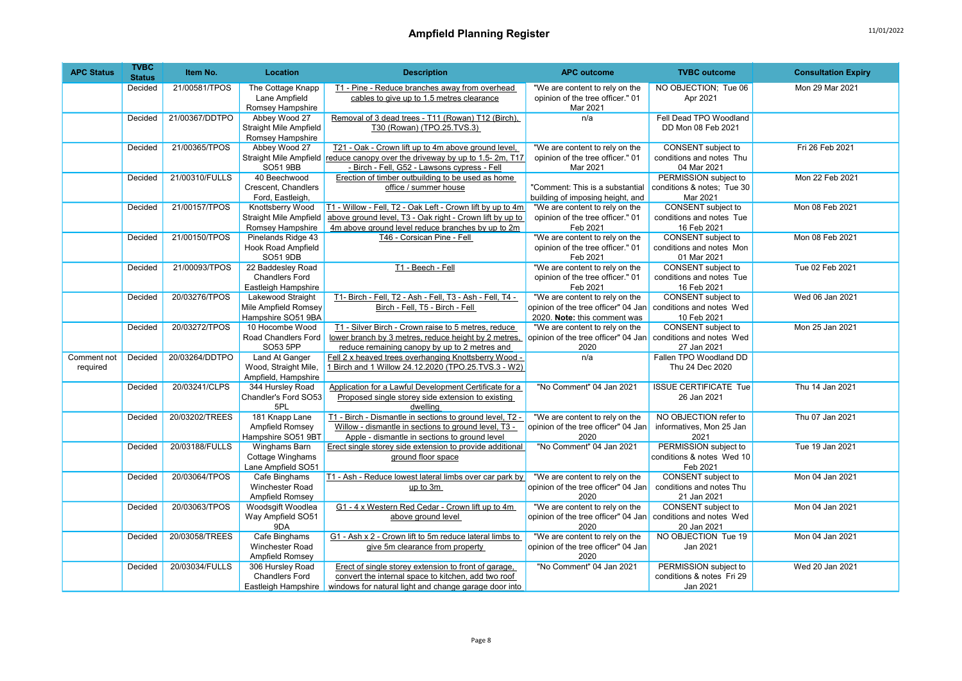| <b>APC Status</b> | <b>TVBC</b><br><b>Status</b> | Item No.       | <b>Location</b>                              | <b>Description</b>                                                          | <b>APC outcome</b>                                                    | <b>TVBC</b> outcome                            | <b>Consultation Expiry</b> |
|-------------------|------------------------------|----------------|----------------------------------------------|-----------------------------------------------------------------------------|-----------------------------------------------------------------------|------------------------------------------------|----------------------------|
|                   | Decided                      | 21/00581/TPOS  | The Cottage Knapp                            | T1 - Pine - Reduce branches away from overhead                              | "We are content to rely on the                                        | NO OBJECTION; Tue 06                           | Mon 29 Mar 2021            |
|                   |                              |                | Lane Ampfield                                | cables to give up to 1.5 metres clearance                                   | opinion of the tree officer." 01                                      | Apr 2021                                       |                            |
|                   |                              |                | Romsey Hampshire                             |                                                                             | Mar 2021                                                              |                                                |                            |
|                   | Decided                      | 21/00367/DDTPO | Abbey Wood 27                                | Removal of 3 dead trees - T11 (Rowan) T12 (Birch),                          | n/a                                                                   | Fell Dead TPO Woodland                         |                            |
|                   |                              |                | Straight Mile Ampfield                       | T30 (Rowan) (TPO.25.TVS.3)                                                  |                                                                       | DD Mon 08 Feb 2021                             |                            |
|                   | <b>Decided</b>               | 21/00365/TPOS  | Romsey Hampshire<br>Abbey Wood 27            | T21 - Oak - Crown lift up to 4m above ground level,                         | "We are content to rely on the                                        | <b>CONSENT</b> subject to                      | Fri 26 Feb 2021            |
|                   |                              |                |                                              | Straight Mile Ampfield reduce canopy over the driveway by up to 1.5-2m, T17 | opinion of the tree officer." 01                                      | conditions and notes Thu                       |                            |
|                   |                              |                | <b>SO51 9BB</b>                              | - Birch - Fell, G52 - Lawsons cypress - Fell                                | Mar 2021                                                              | 04 Mar 2021                                    |                            |
|                   | Decided                      | 21/00310/FULLS | 40 Beechwood                                 | Erection of timber outbuilding to be used as home                           |                                                                       | PERMISSION subject to                          | Mon 22 Feb 2021            |
|                   |                              |                | Crescent. Chandlers                          | office / summer house                                                       | "Comment: This is a substantial                                       | conditions & notes: Tue 30                     |                            |
|                   |                              |                | Ford, Eastleigh,                             |                                                                             | building of imposing height, and                                      | Mar 2021                                       |                            |
|                   | Decided                      | 21/00157/TPOS  | Knottsberry Wood                             | T1 - Willow - Fell, T2 - Oak Left - Crown lift by up to 4m                  | "We are content to rely on the                                        | CONSENT subject to                             | Mon 08 Feb 2021            |
|                   |                              |                | Straight Mile Ampfield                       | above ground level, T3 - Oak right - Crown lift by up to                    | opinion of the tree officer." 01                                      | conditions and notes Tue                       |                            |
|                   |                              |                | Romsey Hampshire                             | 4m above ground level reduce branches by up to 2m                           | Feb 2021                                                              | 16 Feb 2021                                    |                            |
|                   | Decided                      | 21/00150/TPOS  | Pinelands Ridge 43                           | T46 - Corsican Pine - Fell                                                  | "We are content to rely on the                                        | CONSENT subject to                             | Mon 08 Feb 2021            |
|                   |                              |                | Hook Road Ampfield                           |                                                                             | opinion of the tree officer." 01                                      | conditions and notes Mon                       |                            |
|                   |                              |                | <b>SO51 9DB</b>                              |                                                                             | Feb 2021                                                              | 01 Mar 2021                                    |                            |
|                   | Decided                      | 21/00093/TPOS  | 22 Baddesley Road                            | T1 - Beech - Fell                                                           | "We are content to rely on the                                        | <b>CONSENT</b> subject to                      | Tue 02 Feb 2021            |
|                   |                              |                | <b>Chandlers Ford</b><br>Eastleigh Hampshire |                                                                             | opinion of the tree officer." 01<br>Feb 2021                          | conditions and notes Tue<br>16 Feb 2021        |                            |
|                   | Decided                      | 20/03276/TPOS  | Lakewood Straight                            | T1- Birch - Fell, T2 - Ash - Fell, T3 - Ash - Fell, T4 -                    | "We are content to rely on the                                        | CONSENT subject to                             | Wed 06 Jan 2021            |
|                   |                              |                | Mile Ampfield Romsey                         | Birch - Fell. T5 - Birch - Fell                                             | opinion of the tree officer" 04 Jan                                   | conditions and notes Wed                       |                            |
|                   |                              |                | Hampshire SO51 9BA                           |                                                                             | 2020. Note: this comment was                                          | 10 Feb 2021                                    |                            |
|                   | Decided                      | 20/03272/TPOS  | 10 Hocombe Wood                              | T1 - Silver Birch - Crown raise to 5 metres, reduce                         | "We are content to rely on the                                        | <b>CONSENT</b> subject to                      | Mon 25 Jan 2021            |
|                   |                              |                | Road Chandlers Ford                          | lower branch by 3 metres, reduce height by 2 metres,                        | opinion of the tree officer" 04 Jan                                   | conditions and notes Wed                       |                            |
|                   |                              |                | SO53 5PP                                     | reduce remaining canopy by up to 2 metres and                               | 2020                                                                  | 27 Jan 2021                                    |                            |
| Comment not       | Decided                      | 20/03264/DDTPO | Land At Ganger                               | Fell 2 x heaved trees overhanging Knottsberry Wood -                        | n/a                                                                   | Fallen TPO Woodland DD                         |                            |
| required          |                              |                | Wood, Straight Mile,                         | 1 Birch and 1 Willow 24.12.2020 (TPO.25.TVS.3 - W2)                         |                                                                       | Thu 24 Dec 2020                                |                            |
|                   |                              |                | Ampfield, Hampshire                          |                                                                             |                                                                       |                                                |                            |
|                   | Decided                      | 20/03241/CLPS  | 344 Hursley Road                             | Application for a Lawful Development Certificate for a                      | "No Comment" 04 Jan 2021                                              | <b>ISSUE CERTIFICATE Tue</b>                   | Thu 14 Jan 2021            |
|                   |                              |                | Chandler's Ford SO53<br>5PL                  | Proposed single storey side extension to existing<br>dwelling               |                                                                       | 26 Jan 2021                                    |                            |
|                   | Decided                      | 20/03202/TREES | 181 Knapp Lane                               | T1 - Birch - Dismantle in sections to ground level, T2 -                    | "We are content to rely on the                                        | NO OBJECTION refer to                          | Thu 07 Jan 2021            |
|                   |                              |                | Ampfield Romsey                              | Willow - dismantle in sections to ground level, T3 -                        | opinion of the tree officer" 04 Jan                                   | informatives, Mon 25 Jan                       |                            |
|                   |                              |                | Hampshire SO51 9BT                           | Apple - dismantle in sections to ground level                               | 2020                                                                  | 2021                                           |                            |
|                   | Decided                      | 20/03188/FULLS | Winghams Barn                                | Erect single storey side extension to provide additional                    | "No Comment" 04 Jan 2021                                              | PERMISSION subject to                          | Tue 19 Jan 2021            |
|                   |                              |                | Cottage Winghams                             | ground floor space                                                          |                                                                       | conditions & notes Wed 10                      |                            |
|                   |                              |                | Lane Ampfield SO51                           |                                                                             |                                                                       | Feb 2021                                       |                            |
|                   | Decided                      | 20/03064/TPOS  | Cafe Binghams                                | T1 - Ash - Reduce lowest lateral limbs over car park by                     | "We are content to rely on the                                        | CONSENT subject to                             | Mon 04 Jan 2021            |
|                   |                              |                | Winchester Road                              | up to 3m                                                                    | opinion of the tree officer" 04 Jan                                   | conditions and notes Thu                       |                            |
|                   |                              |                | Ampfield Romsey                              |                                                                             | 2020                                                                  | 21 Jan 2021                                    |                            |
|                   | Decided                      | 20/03063/TPOS  | Woodsgift Woodlea<br>Way Ampfield SO51       | G1 - 4 x Western Red Cedar - Crown lift up to 4m<br>above ground level      | "We are content to rely on the<br>opinion of the tree officer" 04 Jan | CONSENT subject to<br>conditions and notes Wed | Mon 04 Jan 2021            |
|                   |                              |                | 9DA                                          |                                                                             | 2020                                                                  | 20 Jan 2021                                    |                            |
|                   | Decided                      | 20/03058/TREES | Cafe Binghams                                | G1 - Ash x 2 - Crown lift to 5m reduce lateral limbs to                     | "We are content to rely on the                                        | NO OBJECTION Tue 19                            | Mon 04 Jan 2021            |
|                   |                              |                | Winchester Road                              | give 5m clearance from property                                             | opinion of the tree officer" 04 Jan                                   | Jan 2021                                       |                            |
|                   |                              |                | Ampfield Romsey                              |                                                                             | 2020                                                                  |                                                |                            |
|                   | Decided                      | 20/03034/FULLS | 306 Hursley Road                             | Erect of single storey extension to front of garage,                        | "No Comment" 04 Jan 2021                                              | PERMISSION subject to                          | Wed 20 Jan 2021            |
|                   |                              |                | <b>Chandlers Ford</b>                        | convert the internal space to kitchen, add two roof                         |                                                                       | conditions & notes Fri 29                      |                            |
|                   |                              |                | Eastleigh Hampshire                          | windows for natural light and change garage door into                       |                                                                       | Jan 2021                                       |                            |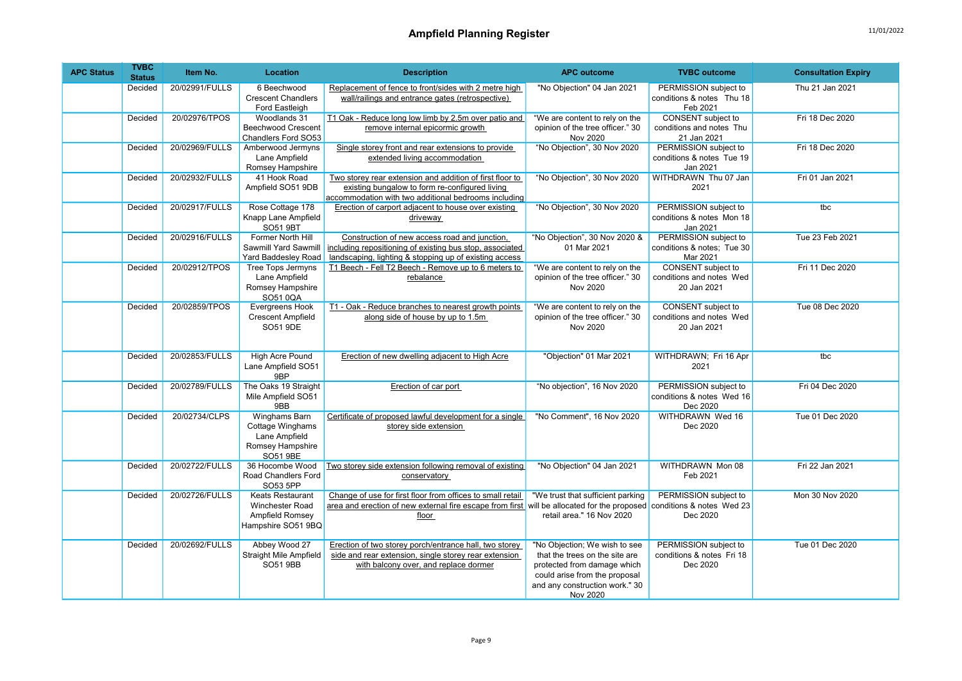| <b>APC Status</b> | <b>TVBC</b><br><b>Status</b> | Item No.       | Location                                                                                  | <b>Description</b>                                                                                                                                                  | <b>APC outcome</b>                                                                                                                                                            | <b>TVBC</b> outcome                                             | <b>Consultation Expiry</b> |
|-------------------|------------------------------|----------------|-------------------------------------------------------------------------------------------|---------------------------------------------------------------------------------------------------------------------------------------------------------------------|-------------------------------------------------------------------------------------------------------------------------------------------------------------------------------|-----------------------------------------------------------------|----------------------------|
|                   | Decided                      | 20/02991/FULLS | 6 Beechwood<br><b>Crescent Chandlers</b><br>Ford Eastleigh                                | Replacement of fence to front/sides with 2 metre high<br>wall/railings and entrance gates (retrospective)                                                           | "No Objection" 04 Jan 2021                                                                                                                                                    | PERMISSION subject to<br>conditions & notes Thu 18<br>Feb 2021  | Thu 21 Jan 2021            |
|                   | Decided                      | 20/02976/TPOS  | Woodlands 31<br><b>Beechwood Crescent</b><br>Chandlers Ford SO53                          | T1 Oak - Reduce long low limb by 2.5m over patio and<br>remove internal epicormic growth                                                                            | "We are content to rely on the<br>opinion of the tree officer." 30<br>Nov 2020                                                                                                | CONSENT subject to<br>conditions and notes Thu<br>21 Jan 2021   | Fri 18 Dec 2020            |
|                   | Decided                      | 20/02969/FULLS | Amberwood Jermyns<br>Lane Ampfield<br>Romsey Hampshire                                    | Single storey front and rear extensions to provide<br>extended living accommodation                                                                                 | "No Objection", 30 Nov 2020                                                                                                                                                   | PERMISSION subject to<br>conditions & notes Tue 19<br>Jan 2021  | Fri 18 Dec 2020            |
|                   | Decided                      | 20/02932/FULLS | 41 Hook Road<br>Ampfield SO51 9DB                                                         | Two storey rear extension and addition of first floor to<br>existing bungalow to form re-configured living<br>accommodation with two additional bedrooms including  | "No Objection", 30 Nov 2020                                                                                                                                                   | WITHDRAWN Thu 07 Jan<br>2021                                    | Fri 01 Jan 2021            |
|                   | Decided                      | 20/02917/FULLS | Rose Cottage 178<br>Knapp Lane Ampfield<br><b>SO51 9BT</b>                                | Erection of carport adjacent to house over existing<br>driveway                                                                                                     | "No Objection", 30 Nov 2020                                                                                                                                                   | PERMISSION subject to<br>conditions & notes Mon 18<br>Jan 2021  | tbc                        |
|                   | Decided                      | 20/02916/FULLS | Former North Hill<br>Sawmill Yard Sawmill<br>Yard Baddesley Road                          | Construction of new access road and junction,<br>including repositioning of existing bus stop, associated<br>landscaping, lighting & stopping up of existing access | "No Objection", 30 Nov 2020 &<br>01 Mar 2021                                                                                                                                  | PERMISSION subject to<br>conditions & notes; Tue 30<br>Mar 2021 | Tue 23 Feb 2021            |
|                   | Decided                      | 20/02912/TPOS  | <b>Tree Tops Jermyns</b><br>Lane Ampfield<br>Romsey Hampshire<br>SO51 0QA                 | T1 Beech - Fell T2 Beech - Remove up to 6 meters to<br>rebalance                                                                                                    | "We are content to rely on the<br>opinion of the tree officer." 30<br>Nov 2020                                                                                                | CONSENT subject to<br>conditions and notes Wed<br>20 Jan 2021   | Fri 11 Dec 2020            |
|                   | Decided                      | 20/02859/TPOS  | Evergreens Hook<br><b>Crescent Ampfield</b><br>SO51 9DE                                   | T1 - Oak - Reduce branches to nearest growth points<br>along side of house by up to 1.5m                                                                            | "We are content to rely on the<br>opinion of the tree officer." 30<br>Nov 2020                                                                                                | CONSENT subject to<br>conditions and notes Wed<br>20 Jan 2021   | Tue 08 Dec 2020            |
|                   | Decided                      | 20/02853/FULLS | High Acre Pound<br>Lane Ampfield SO51<br>9BP                                              | Erection of new dwelling adjacent to High Acre                                                                                                                      | "Objection" 01 Mar 2021                                                                                                                                                       | WITHDRAWN; Fri 16 Apr<br>2021                                   | tbc                        |
|                   | Decided                      | 20/02789/FULLS | The Oaks 19 Straight<br>Mile Ampfield SO51<br>9BB                                         | Erection of car port                                                                                                                                                | "No objection", 16 Nov 2020                                                                                                                                                   | PERMISSION subject to<br>conditions & notes Wed 16<br>Dec 2020  | Fri 04 Dec 2020            |
|                   | Decided                      | 20/02734/CLPS  | Winghams Barn<br>Cottage Winghams<br>Lane Ampfield<br>Romsey Hampshire<br><b>SO51 9BE</b> | Certificate of proposed lawful development for a single<br>storey side extension                                                                                    | "No Comment", 16 Nov 2020                                                                                                                                                     | WITHDRAWN Wed 16<br>Dec 2020                                    | Tue 01 Dec 2020            |
|                   | Decided                      | 20/02722/FULLS | 36 Hocombe Wood<br>Road Chandlers Ford<br>SO53 5PP                                        | Two storey side extension following removal of existing<br>conservatory                                                                                             | "No Objection" 04 Jan 2021                                                                                                                                                    | WITHDRAWN Mon 08<br>Feb 2021                                    | Fri 22 Jan 2021            |
|                   | Decided                      | 20/02726/FULLS | <b>Keats Restaurant</b><br>Winchester Road<br>Ampfield Romsey<br>Hampshire SO51 9BQ       | Change of use for first floor from offices to small retail<br>area and erection of new external fire escape from first will be allocated for the proposed<br>floor  | "We trust that sufficient parking<br>retail area." 16 Nov 2020                                                                                                                | PERMISSION subject to<br>conditions & notes Wed 23<br>Dec 2020  | <b>Mon 30 Nov 2020</b>     |
|                   | Decided                      | 20/02692/FULLS | Abbey Wood 27<br>Straight Mile Ampfield<br><b>SO51 9BB</b>                                | Erection of two storey porch/entrance hall, two storey<br>side and rear extension, single storey rear extension<br>with balcony over, and replace dormer            | "No Objection; We wish to see<br>that the trees on the site are<br>protected from damage which<br>could arise from the proposal<br>and any construction work." 30<br>Nov 2020 | PERMISSION subject to<br>conditions & notes Fri 18<br>Dec 2020  | Tue 01 Dec 2020            |